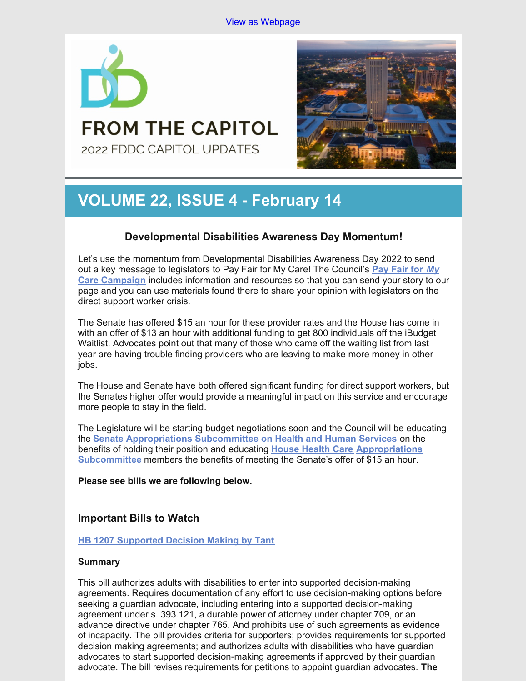

# **FROM THE CAPITOL** 2022 FDDC CAPITOL UPDATES



# **VOLUME 22, ISSUE 4 - February 14**

## **Developmental Disabilities Awareness Day Momentum!**

Let's use the momentum from Developmental Disabilities Awareness Day 2022 to send out a key message to legislators to Pay Fair for My Care! The Council's **Pay [Fair](https://www.fddc.org/pay-fair-for-my-care/) for** *[My](https://www.fddc.org/pay-fair-for-my-care/)* **Care [Campaign](https://www.fddc.org/pay-fair-for-my-care/)** includes information and resources so that you can send your story to our page and you can use materials found there to share your opinion with legislators on the direct support worker crisis.

The Senate has offered \$15 an hour for these provider rates and the House has come in with an offer of \$13 an hour with additional funding to get 800 individuals off the iBudget Waitlist. Advocates point out that many of those who came off the waiting list from last year are having trouble finding providers who are leaving to make more money in other jobs.

The House and Senate have both offered significant funding for direct support workers, but the Senates higher offer would provide a meaningful impact on this service and encourage more people to stay in the field.

The Legislature will be starting budget negotiations soon and the Council will be educating the **Senate [Appropriations](https://www.flsenate.gov/Committees/Show/AHS/) Subcommittee on Health and Human [Services](https://www.flsenate.gov/Committees/Show/AHS/)** on the benefits of holding their position and educating **House [Health](https://www.myfloridahouse.gov/Sections/Committees/committeesdetail.aspx?CommitteeId=3088) Care [Appropriations](https://www.myfloridahouse.gov/Sections/Committees/committeesdetail.aspx?CommitteeId=3088) Subcommittee** members the benefits of meeting the Senate's offer of \$15 an hour.

## **Please see bills we are following below.**

## **Important Bills to Watch**

## **HB 1207 [Supported](https://www.myfloridahouse.gov/Sections/Bills/billsdetail.aspx?BillId=76061) Decision Making by Tant**

## **Summary**

This bill authorizes adults with disabilities to enter into supported decision-making agreements. Requires documentation of any effort to use decision-making options before seeking a guardian advocate, including entering into a supported decision-making agreement under s. 393.121, a durable power of attorney under chapter 709, or an advance directive under chapter 765. And prohibits use of such agreements as evidence of incapacity. The bill provides criteria for supporters; provides requirements for supported decision making agreements; and authorizes adults with disabilities who have guardian advocates to start supported decision-making agreements if approved by their guardian advocate. The bill revises requirements for petitions to appoint guardian advocates. **The**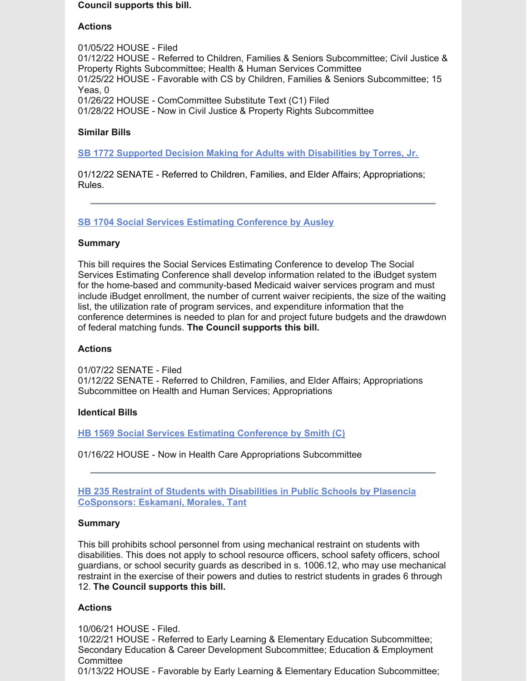#### **Council supports this bill.**

## **Actions**

01/05/22 HOUSE - Filed 01/12/22 HOUSE - Referred to Children, Families & Seniors Subcommittee; Civil Justice & Property Rights Subcommittee; Health & Human Services Committee 01/25/22 HOUSE - Favorable with CS by Children, Families & Seniors Subcommittee; 15 Yeas, 0 01/26/22 HOUSE - ComCommittee Substitute Text (C1) Filed 01/28/22 HOUSE - Now in Civil Justice & Property Rights Subcommittee

## **Similar Bills**

**SB 1772 Supported Decision Making for Adults with [Disabilities](https://www.myfloridahouse.gov/Sections/Bills/billsdetail.aspx?BillId=76242&) by Torres, Jr.**

01/12/22 SENATE - Referred to Children, Families, and Elder Affairs; Appropriations; Rules.

## **SB 1704 Social Services Estimating [Conference](https://www.myfloridahouse.gov/Sections/Bills/billsdetail.aspx?BillId=76170) by Ausley**

## **Summary**

This bill requires the Social Services Estimating Conference to develop The Social Services Estimating Conference shall develop information related to the iBudget system for the home-based and community-based Medicaid waiver services program and must include iBudget enrollment, the number of current waiver recipients, the size of the waiting list, the utilization rate of program services, and expenditure information that the conference determines is needed to plan for and project future budgets and the drawdown of federal matching funds. **The Council supports this bill.**

## **Actions**

01/07/22 SENATE - Filed 01/12/22 SENATE - Referred to Children, Families, and Elder Affairs; Appropriations Subcommittee on Health and Human Services; Appropriations

## **Identical Bills**

**HB 1569 Social Services Estimating [Conference](https://www.myfloridahouse.gov/Sections/Bills/billsdetail.aspx?BillId=76559&) by Smith (C)**

01/16/22 HOUSE - Now in Health Care Appropriations Subcommittee

**HB 235 Restraint of Students with [Disabilities](https://www.myfloridahouse.gov/Sections/Bills/billsdetail.aspx?BillId=73355) in Public Schools by Plasencia CoSponsors: Eskamani, Morales, Tant**

## **Summary**

This bill prohibits school personnel from using mechanical restraint on students with disabilities. This does not apply to school resource officers, school safety officers, school guardians, or school security guards as described in s. 1006.12, who may use mechanical restraint in the exercise of their powers and duties to restrict students in grades 6 through 12. **The Council supports this bill.**

## **Actions**

10/06/21 HOUSE - Filed. 10/22/21 HOUSE - Referred to Early Learning & Elementary Education Subcommittee; Secondary Education & Career Development Subcommittee; Education & Employment **Committee** 01/13/22 HOUSE - Favorable by Early Learning & Elementary Education Subcommittee;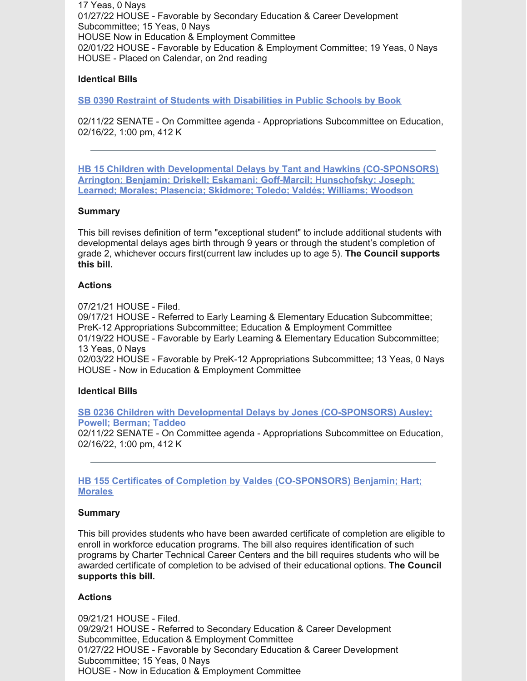17 Yeas, 0 Nays 01/27/22 HOUSE - Favorable by Secondary Education & Career Development Subcommittee; 15 Yeas, 0 Nays HOUSE Now in Education & Employment Committee 02/01/22 HOUSE - Favorable by Education & Employment Committee; 19 Yeas, 0 Nays HOUSE - Placed on Calendar, on 2nd reading

## **Identical Bills**

**SB 0390 Restraint of Students with [Disabilities](https://www.myfloridahouse.gov/Sections/Bills/billsdetail.aspx?BillId=73330&) in Public Schools by Book**

02/11/22 SENATE - On Committee agenda - Appropriations Subcommittee on Education, 02/16/22, 1:00 pm, 412 K

**HB 15 Children with Developmental Delays by Tant and Hawkins [\(CO-SPONSORS\)](https://www.myfloridahouse.gov/Sections/Bills/billsdetail.aspx?BillId=73025) Arrington; Benjamin; Driskell; Eskamani; Goff-Marcil; Hunschofsky; Joseph; Learned; Morales; Plasencia; Skidmore; Toledo; Valdés; Williams; Woodson**

## **Summary**

This bill revises definition of term "exceptional student" to include additional students with developmental delays ages birth through 9 years or through the student's completion of grade 2, whichever occurs first(current law includes up to age 5). **The Council supports this bill.**

## **Actions**

07/21/21 HOUSE - Filed.

09/17/21 HOUSE - Referred to Early Learning & Elementary Education Subcommittee; PreK-12 Appropriations Subcommittee; Education & Employment Committee 01/19/22 HOUSE - Favorable by Early Learning & Elementary Education Subcommittee; 13 Yeas, 0 Nays 02/03/22 HOUSE - Favorable by PreK-12 Appropriations Subcommittee; 13 Yeas, 0 Nays HOUSE - Now in Education & Employment Committee

## **Identical Bills**

**SB 0236 Children with Developmental Delays by Jones [\(CO-SPONSORS\)](https://www.myfloridahouse.gov/Sections/Bills/billsdetail.aspx?BillId=73164&) Ausley; Powell; Berman; Taddeo** 02/11/22 SENATE - On Committee agenda - Appropriations Subcommittee on Education, 02/16/22, 1:00 pm, 412 K

**HB 155 Certificates of Completion by Valdes [\(CO-SPONSORS\)](https://www.myfloridahouse.gov/Sections/Bills/billsdetail.aspx?BillId=73206) Benjamin; Hart; Morales**

## **Summary**

This bill provides students who have been awarded certificate of completion are eligible to enroll in workforce education programs. The bill also requires identification of such programs by Charter Technical Career Centers and the bill requires students who will be awarded certificate of completion to be advised of their educational options. **The Council supports this bill.**

## **Actions**

09/21/21 HOUSE - Filed. 09/29/21 HOUSE - Referred to Secondary Education & Career Development Subcommittee, Education & Employment Committee 01/27/22 HOUSE - Favorable by Secondary Education & Career Development Subcommittee; 15 Yeas, 0 Nays HOUSE - Now in Education & Employment Committee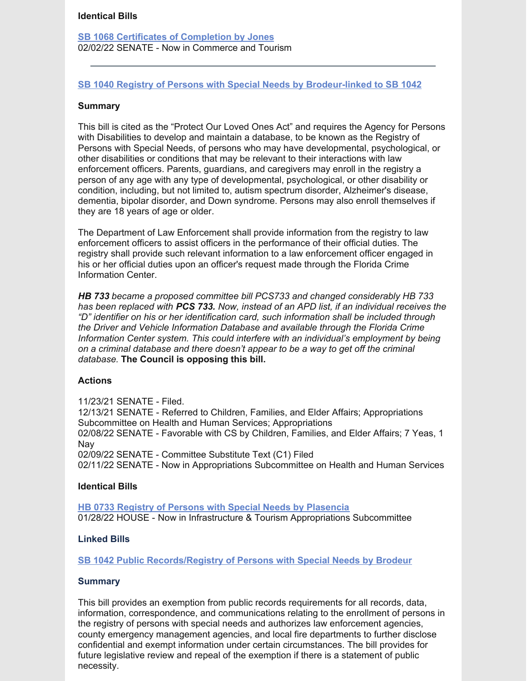#### **Identical Bills**

**SB 1068 Certificates of [Completion](https://www.myfloridahouse.gov/Sections/Bills/billsdetail.aspx?BillId=75103&) by Jones** 02/02/22 SENATE - Now in Commerce and Tourism

## **SB 1040 Registry of Persons with Special Needs by [Brodeur-linked](https://www.myfloridahouse.gov/Sections/Bills/billsdetail.aspx?BillId=74991) to SB 1042**

#### **Summary**

This bill is cited as the "Protect Our Loved Ones Act" and requires the Agency for Persons with Disabilities to develop and maintain a database, to be known as the Registry of Persons with Special Needs, of persons who may have developmental, psychological, or other disabilities or conditions that may be relevant to their interactions with law enforcement officers. Parents, guardians, and caregivers may enroll in the registry a person of any age with any type of developmental, psychological, or other disability or condition, including, but not limited to, autism spectrum disorder, Alzheimer's disease, dementia, bipolar disorder, and Down syndrome. Persons may also enroll themselves if they are 18 years of age or older.

The Department of Law Enforcement shall provide information from the registry to law enforcement officers to assist officers in the performance of their official duties. The registry shall provide such relevant information to a law enforcement officer engaged in his or her official duties upon an officer's request made through the Florida Crime Information Center.

*HB 733 became a proposed committee bill PCS733 and changed considerably HB 733 has been replaced with PCS 733. Now, instead of an APD list, if an individual receives the "D" identifier on his or her identification card, such information shall be included through the Driver and Vehicle Information Database and available through the Florida Crime Information Center system. This could interfere with an individual's employment by being on a criminal database and there doesn't appear to be a way to get off the criminal database.* **The Council is opposing this bill.**

#### **Actions**

11/23/21 SENATE - Filed.

12/13/21 SENATE - Referred to Children, Families, and Elder Affairs; Appropriations Subcommittee on Health and Human Services; Appropriations 02/08/22 SENATE - Favorable with CS by Children, Families, and Elder Affairs; 7 Yeas, 1 Nay 02/09/22 SENATE - Committee Substitute Text (C1) Filed 02/11/22 SENATE - Now in Appropriations Subcommittee on Health and Human Services

#### **Identical Bills**

**HB 0733 Registry of Persons with Special Needs by [Plasencia](https://www.myfloridahouse.gov/Sections/Bills/billsdetail.aspx?BillId=75034&)** 01/28/22 HOUSE - Now in Infrastructure & Tourism Appropriations Subcommittee

### **Linked Bills**

**SB 1042 Public [Records/Registry](https://www.myfloridahouse.gov/Sections/Bills/billsdetail.aspx?BillId=74990&) of Persons with Special Needs by Brodeur**

### **Summary**

This bill provides an exemption from public records requirements for all records, data, information, correspondence, and communications relating to the enrollment of persons in the registry of persons with special needs and authorizes law enforcement agencies, county emergency management agencies, and local fire departments to further disclose confidential and exempt information under certain circumstances. The bill provides for future legislative review and repeal of the exemption if there is a statement of public necessity.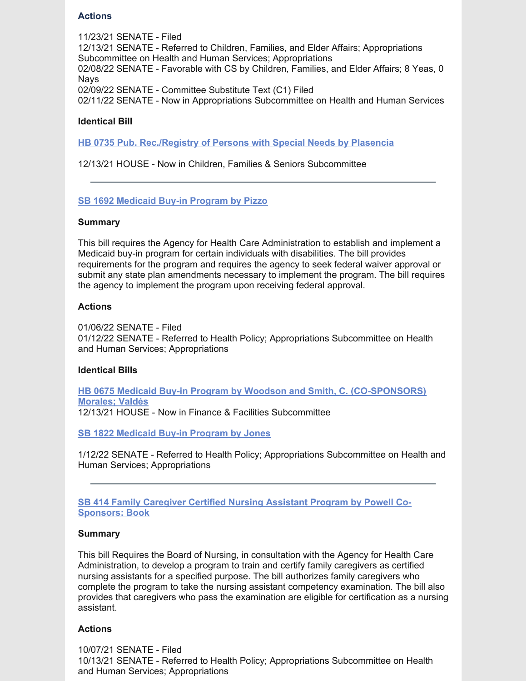## **Actions**

11/23/21 SENATE - Filed 12/13/21 SENATE - Referred to Children, Families, and Elder Affairs; Appropriations Subcommittee on Health and Human Services; Appropriations 02/08/22 SENATE - Favorable with CS by Children, Families, and Elder Affairs; 8 Yeas, 0 **Navs** 02/09/22 SENATE - Committee Substitute Text (C1) Filed 02/11/22 SENATE - Now in Appropriations Subcommittee on Health and Human Services

## **Identical Bill**

**HB 0735 Pub. [Rec./Registry](https://www.myfloridahouse.gov/Sections/Bills/billsdetail.aspx?BillId=75035&) of Persons with Special Needs by Plasencia**

12/13/21 HOUSE - Now in Children, Families & Seniors Subcommittee

#### **SB 1692 [Medicaid](https://www.myfloridahouse.gov/Sections/Bills/billsdetail.aspx?BillId=76163) Buy-in Program by Pizzo**

#### **Summary**

This bill requires the Agency for Health Care Administration to establish and implement a Medicaid buy-in program for certain individuals with disabilities. The bill provides requirements for the program and requires the agency to seek federal waiver approval or submit any state plan amendments necessary to implement the program. The bill requires the agency to implement the program upon receiving federal approval.

#### **Actions**

01/06/22 SENATE - Filed 01/12/22 SENATE - Referred to Health Policy; Appropriations Subcommittee on Health and Human Services; Appropriations

#### **Identical Bills**

**HB 0675 Medicaid Buy-in Program by Woodson and Smith, C. [\(CO-SPONSORS\)](https://www.myfloridahouse.gov/Sections/Bills/billsdetail.aspx?BillId=74798&) Morales; Valdés** 12/13/21 HOUSE - Now in Finance & Facilities Subcommittee

**SB 1822 [Medicaid](https://www.myfloridahouse.gov/Sections/Bills/billsdetail.aspx?BillId=76281&) Buy-in Program by Jones**

1/12/22 SENATE - Referred to Health Policy; Appropriations Subcommittee on Health and Human Services; Appropriations

**SB 414 Family [Caregiver](https://www.myfloridahouse.gov/Sections/Bills/billsdetail.aspx?BillId=73361&) Certified Nursing Assistant Program by Powell Co-Sponsors: Book**

#### **Summary**

This bill Requires the Board of Nursing, in consultation with the Agency for Health Care Administration, to develop a program to train and certify family caregivers as certified nursing assistants for a specified purpose. The bill authorizes family caregivers who complete the program to take the nursing assistant competency examination. The bill also provides that caregivers who pass the examination are eligible for certification as a nursing assistant.

## **Actions**

10/07/21 SENATE - Filed 10/13/21 SENATE - Referred to Health Policy; Appropriations Subcommittee on Health and Human Services; Appropriations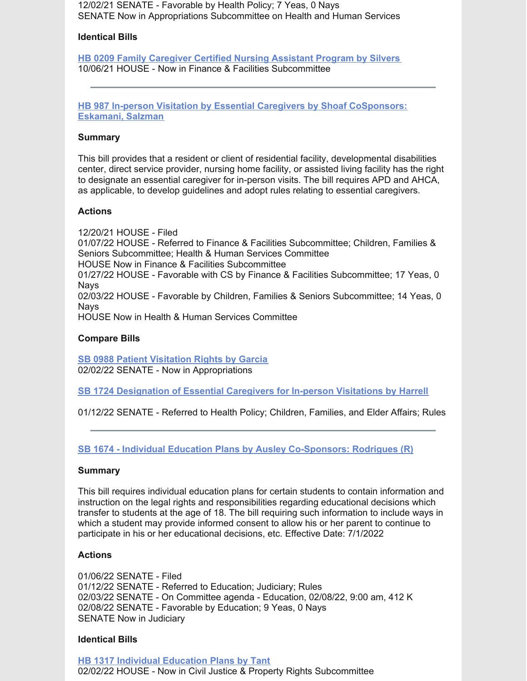12/02/21 SENATE - Favorable by Health Policy; 7 Yeas, 0 Nays SENATE Now in Appropriations Subcommittee on Health and Human Services

## **Identical Bills**

**HB 0209 Family [Caregiver](https://www.myfloridahouse.gov/Sections/Bills/billsdetail.aspx?BillId=73306) Certified Nursing Assistant Program by Silvers** 10/06/21 HOUSE - Now in Finance & Facilities Subcommittee

**HB 987 In-person Visitation by Essential Caregivers by Shoaf [CoSponsors:](https://www.myfloridahouse.gov/Sections/Bills/billsdetail.aspx?BillId=75784) Eskamani, Salzman**

#### **Summary**

This bill provides that a resident or client of residential facility, developmental disabilities center, direct service provider, nursing home facility, or assisted living facility has the right to designate an essential caregiver for in-person visits. The bill requires APD and AHCA, as applicable, to develop guidelines and adopt rules relating to essential caregivers.

#### **Actions**

12/20/21 HOUSE - Filed 01/07/22 HOUSE - Referred to Finance & Facilities Subcommittee; Children, Families & Seniors Subcommittee; Health & Human Services Committee HOUSE Now in Finance & Facilities Subcommittee 01/27/22 HOUSE - Favorable with CS by Finance & Facilities Subcommittee; 17 Yeas, 0 **Navs** 02/03/22 HOUSE - Favorable by Children, Families & Seniors Subcommittee; 14 Yeas, 0 Nays

HOUSE Now in Health & Human Services Committee

#### **Compare Bills**

**SB 0988 Patient [Visitation](https://www.myfloridahouse.gov/Sections/Bills/billsdetail.aspx?BillId=74715&) Rights by Garcia** 02/02/22 SENATE - Now in Appropriations

**SB 1724 [Designation](https://www.myfloridahouse.gov/Sections/Bills/billsdetail.aspx?BillId=76190&) of Essential Caregivers for In-person Visitations by Harrell**

01/12/22 SENATE - Referred to Health Policy; Children, Families, and Elder Affairs; Rules

**SB 1674 - Individual Education Plans by Ausley [Co-Sponsors:](https://www.flsenate.gov/Session/Bill/2022/1674) Rodrigues (R)**

#### **Summary**

This bill requires individual education plans for certain students to contain information and instruction on the legal rights and responsibilities regarding educational decisions which transfer to students at the age of 18. The bill requiring such information to include ways in which a student may provide informed consent to allow his or her parent to continue to participate in his or her educational decisions, etc. Effective Date: 7/1/2022

## **Actions**

01/06/22 SENATE - Filed 01/12/22 SENATE - Referred to Education; Judiciary; Rules 02/03/22 SENATE - On Committee agenda - Education, 02/08/22, 9:00 am, 412 K 02/08/22 SENATE - Favorable by Education; 9 Yeas, 0 Nays SENATE Now in Judiciary

#### **Identical Bills**

**HB 1317 Individual [Education](https://www.flsenate.gov/Session/Bill/2022/1317) Plans by Tant** 02/02/22 HOUSE - Now in Civil Justice & Property Rights Subcommittee